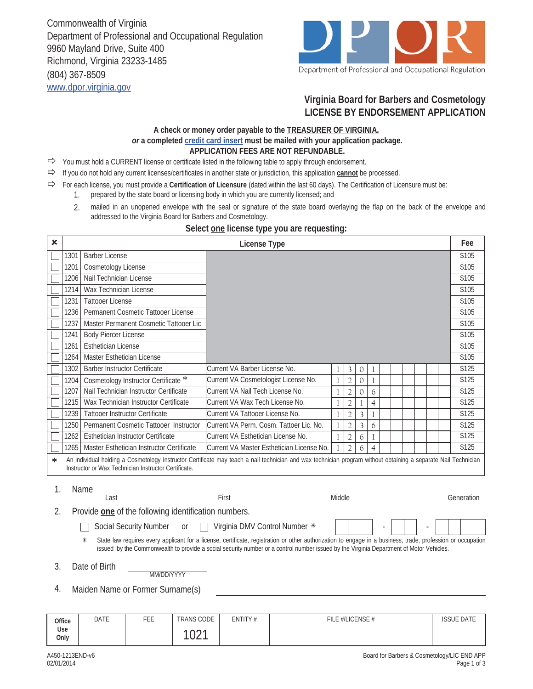Commonwealth of Virginia Department of Professional and Occupational Regulation 9960 Mayland Drive, Suite 400 Richmond, Virginia 23233-1485 (804) 367-8509 www.dpor.virginia.gov



## **Virginia Board for Barbers and Cosmetology LICENSE BY ENDORSEMENT APPLICATION**

## **A check or money order payable to the TREASURER OF VIRGINIA,**  *or* **a completed credit card insert must be mailed with your application package. APPLICATION FEES ARE NOT REFUNDABLE.**

- $\Rightarrow$  You must hold a CURRENT license or certificate listed in the following table to apply through endorsement.
- If you do not hold any current licenses/certificates in another state or jurisdiction, this application **cannot** be processed.
- For each license, you must provide a **Certification of Licensure** (dated within the last 60 days). The Certification of Licensure must be: 1. prepared by the state board or licensing body in which you are currently licensed; and
	- mailed in an unopened envelope with the seal or signature of the state board overlaying the flap on the back of the envelope and addressed to the Virginia Board for Barbers and Cosmetology. 2.

## **Select one license type you are requesting:**

| $\boldsymbol{\mathsf{x}}$                                                                                                                                                                                                                 | License Type                                                                                                                                                                                                                                                                                                |                                           |                                           |             |                |                         |                |  |  | Fee |  |       |       |            |
|-------------------------------------------------------------------------------------------------------------------------------------------------------------------------------------------------------------------------------------------|-------------------------------------------------------------------------------------------------------------------------------------------------------------------------------------------------------------------------------------------------------------------------------------------------------------|-------------------------------------------|-------------------------------------------|-------------|----------------|-------------------------|----------------|--|--|-----|--|-------|-------|------------|
|                                                                                                                                                                                                                                           | <b>Barber License</b><br>1301                                                                                                                                                                                                                                                                               |                                           |                                           |             |                |                         |                |  |  |     |  | \$105 |       |            |
|                                                                                                                                                                                                                                           | Cosmetology License<br>1201                                                                                                                                                                                                                                                                                 |                                           |                                           |             |                |                         |                |  |  |     |  |       | \$105 |            |
|                                                                                                                                                                                                                                           | Nail Technician License<br>1206                                                                                                                                                                                                                                                                             |                                           |                                           |             |                |                         |                |  |  |     |  | \$105 |       |            |
|                                                                                                                                                                                                                                           | Wax Technician License<br>1214                                                                                                                                                                                                                                                                              |                                           |                                           |             |                |                         |                |  |  |     |  | \$105 |       |            |
|                                                                                                                                                                                                                                           | 1231<br><b>Tattooer License</b>                                                                                                                                                                                                                                                                             |                                           |                                           |             |                |                         |                |  |  |     |  | \$105 |       |            |
|                                                                                                                                                                                                                                           | Permanent Cosmetic Tattooer License<br>1236                                                                                                                                                                                                                                                                 |                                           |                                           |             |                |                         |                |  |  |     |  | \$105 |       |            |
|                                                                                                                                                                                                                                           | 1237<br>Master Permanent Cosmetic Tattooer Lic                                                                                                                                                                                                                                                              |                                           |                                           |             |                |                         |                |  |  |     |  | \$105 |       |            |
|                                                                                                                                                                                                                                           | <b>Body Piercer License</b><br>1241                                                                                                                                                                                                                                                                         |                                           |                                           |             |                |                         |                |  |  |     |  | \$105 |       |            |
|                                                                                                                                                                                                                                           | <b>Esthetician License</b><br>1261                                                                                                                                                                                                                                                                          |                                           |                                           |             |                |                         |                |  |  |     |  | \$105 |       |            |
|                                                                                                                                                                                                                                           | Master Esthetician License<br>1264                                                                                                                                                                                                                                                                          |                                           |                                           |             |                |                         |                |  |  |     |  | \$105 |       |            |
|                                                                                                                                                                                                                                           | 1302                                                                                                                                                                                                                                                                                                        | <b>Barber Instructor Certificate</b>      | Current VA Barber License No.             | 1           | 3              | $\mathbf 0$             | $\mathbf{1}$   |  |  |     |  |       |       | \$125      |
|                                                                                                                                                                                                                                           | 1204                                                                                                                                                                                                                                                                                                        | Cosmetology Instructor Certificate *      | Current VA Cosmetologist License No.      | 1           | $\overline{2}$ | $\mathcal{O}$           | 1              |  |  |     |  |       |       | \$125      |
|                                                                                                                                                                                                                                           | 1207                                                                                                                                                                                                                                                                                                        | Nail Technician Instructor Certificate    | Current VA Nail Tech License No.          | $\mathbf 1$ | $\overline{2}$ | $\mathbf{O}$            | 6              |  |  |     |  |       |       | \$125      |
|                                                                                                                                                                                                                                           | 1215                                                                                                                                                                                                                                                                                                        | Wax Technician Instructor Certificate     | Current VA Wax Tech License No.           | 1           | $\overline{2}$ | 1                       | $\overline{4}$ |  |  |     |  |       |       | \$125      |
|                                                                                                                                                                                                                                           | 1239                                                                                                                                                                                                                                                                                                        | <b>Tattooer Instructor Certificate</b>    | Current VA Tattooer License No.           | 1           | $\overline{2}$ | 3                       | 1              |  |  |     |  |       |       | \$125      |
|                                                                                                                                                                                                                                           | 1250                                                                                                                                                                                                                                                                                                        | Permanent Cosmetic Tattooer Instructor    | Current VA Perm. Cosm. Tattoer Lic. No.   | $\mathbf 1$ | $\overline{2}$ | $\overline{\mathbf{3}}$ | 6              |  |  |     |  |       |       | \$125      |
|                                                                                                                                                                                                                                           | 1262                                                                                                                                                                                                                                                                                                        | Esthetician Instructor Certificate        | Current VA Esthetician License No.        | 1           | $\overline{2}$ | 6                       | 1              |  |  |     |  |       |       | \$125      |
|                                                                                                                                                                                                                                           | 1265                                                                                                                                                                                                                                                                                                        | Master Esthetician Instructor Certificate | Current VA Master Esthetician License No. | 1           | $\overline{2}$ | 6                       | $\overline{4}$ |  |  |     |  |       |       | \$125      |
| An individual holding a Cosmetology Instructor Certificate may teach a nail technician and wax technician program without obtaining a separate Nail Technician<br>∗<br>Instructor or Wax Technician Instructor Certificate.<br>1.<br>Name |                                                                                                                                                                                                                                                                                                             |                                           |                                           |             |                |                         |                |  |  |     |  |       |       |            |
|                                                                                                                                                                                                                                           |                                                                                                                                                                                                                                                                                                             | Last                                      | First                                     | Middle      |                |                         |                |  |  |     |  |       |       | Generation |
| 2.<br>Provide one of the following identification numbers.                                                                                                                                                                                |                                                                                                                                                                                                                                                                                                             |                                           |                                           |             |                |                         |                |  |  |     |  |       |       |            |
|                                                                                                                                                                                                                                           | <b>Social Security Number</b><br>Virginia DMV Control Number *<br><b>or</b>                                                                                                                                                                                                                                 |                                           |                                           |             |                |                         |                |  |  |     |  |       |       |            |
|                                                                                                                                                                                                                                           | State law requires every applicant for a license, certificate, registration or other authorization to engage in a business, trade, profession or occupation<br>⋇<br>issued by the Commonwealth to provide a social security number or a control number issued by the Virginia Department of Motor Vehicles. |                                           |                                           |             |                |                         |                |  |  |     |  |       |       |            |
| 3.                                                                                                                                                                                                                                        | Date of Birth<br>MM/DD/YYYY                                                                                                                                                                                                                                                                                 |                                           |                                           |             |                |                         |                |  |  |     |  |       |       |            |
| 4.                                                                                                                                                                                                                                        | Maiden Name or Former Surname(s)                                                                                                                                                                                                                                                                            |                                           |                                           |             |                |                         |                |  |  |     |  |       |       |            |

| Office      | DATE | FEE | TRANS CODE                 | ENTITY# | FILE #/LICENSE # | <b>ISSUE DATE</b> |
|-------------|------|-----|----------------------------|---------|------------------|-------------------|
| Use<br>Only |      |     | $\sim$ $\sim$ $\sim$<br>◡∠ |         |                  |                   |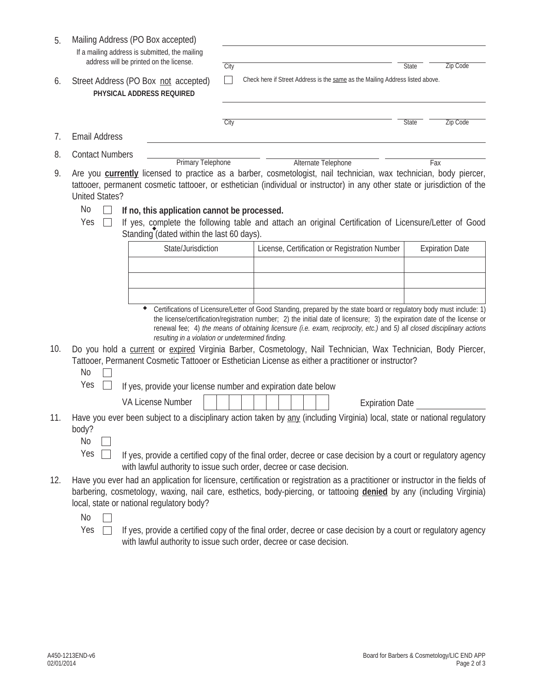| 5.  | Mailing Address (PO Box accepted)<br>If a mailing address is submitted, the mailing<br>address will be printed on the license.  | City |                                                                                                                                                                                                                                                                                                                                                                             | State | Zip Code               |
|-----|---------------------------------------------------------------------------------------------------------------------------------|------|-----------------------------------------------------------------------------------------------------------------------------------------------------------------------------------------------------------------------------------------------------------------------------------------------------------------------------------------------------------------------------|-------|------------------------|
| 6.  | Street Address (PO Box not accepted)<br>PHYSICAL ADDRESS REQUIRED                                                               |      | Check here if Street Address is the same as the Mailing Address listed above.                                                                                                                                                                                                                                                                                               |       |                        |
|     |                                                                                                                                 | City |                                                                                                                                                                                                                                                                                                                                                                             | State | Zip Code               |
| 7.  | <b>Email Address</b>                                                                                                            |      |                                                                                                                                                                                                                                                                                                                                                                             |       |                        |
| 8.  | <b>Contact Numbers</b><br>Primary Telephone                                                                                     |      | <b>Alternate Telephone</b>                                                                                                                                                                                                                                                                                                                                                  | Fax   |                        |
| 9.  | <b>United States?</b><br>No<br>If no, this application cannot be processed.<br>Yes<br>Standing (dated within the last 60 days). |      | Are you currently licensed to practice as a barber, cosmetologist, nail technician, wax technician, body piercer,<br>tattooer, permanent cosmetic tattooer, or esthetician (individual or instructor) in any other state or jurisdiction of the<br>If yes, complete the following table and attach an original Certification of Licensure/Letter of Good                    |       |                        |
|     | State/Jurisdiction                                                                                                              |      | License, Certification or Registration Number                                                                                                                                                                                                                                                                                                                               |       | <b>Expiration Date</b> |
|     | ٠<br>resulting in a violation or undetermined finding.                                                                          |      | Certifications of Licensure/Letter of Good Standing, prepared by the state board or regulatory body must include: 1)<br>the license/certification/registration number; 2) the initial date of licensure; 3) the expiration date of the license or<br>renewal fee; 4) the means of obtaining licensure (i.e. exam, reciprocity, etc.) and 5) all closed disciplinary actions |       |                        |
| 10. | <b>No</b><br>Yes                                                                                                                |      | Do you hold a current or expired Virginia Barber, Cosmetology, Nail Technician, Wax Technician, Body Piercer,<br>Tattooer, Permanent Cosmetic Tattooer or Esthetician License as either a practitioner or instructor?<br>If yes, provide your license number and expiration date below                                                                                      |       |                        |
|     | VA License Number                                                                                                               |      | <b>Expiration Date</b>                                                                                                                                                                                                                                                                                                                                                      |       |                        |
| 11. | body?<br>No<br>Yes                                                                                                              |      | Have you ever been subject to a disciplinary action taken by any (including Virginia) local, state or national regulatory<br>If yes, provide a certified copy of the final order, decree or case decision by a court or regulatory agency                                                                                                                                   |       |                        |
|     |                                                                                                                                 |      | with lawful authority to issue such order, decree or case decision.                                                                                                                                                                                                                                                                                                         |       |                        |
| 12. | local, state or national regulatory body?<br><b>No</b>                                                                          |      | Have you ever had an application for licensure, certification or registration as a practitioner or instructor in the fields of<br>barbering, cosmetology, waxing, nail care, esthetics, body-piercing, or tattooing denied by any (including Virginia)                                                                                                                      |       |                        |
|     | Yes                                                                                                                             |      | If yes, provide a certified copy of the final order, decree or case decision by a court or regulatory agency<br>with lawful authority to issue such order, decree or case decision.                                                                                                                                                                                         |       |                        |